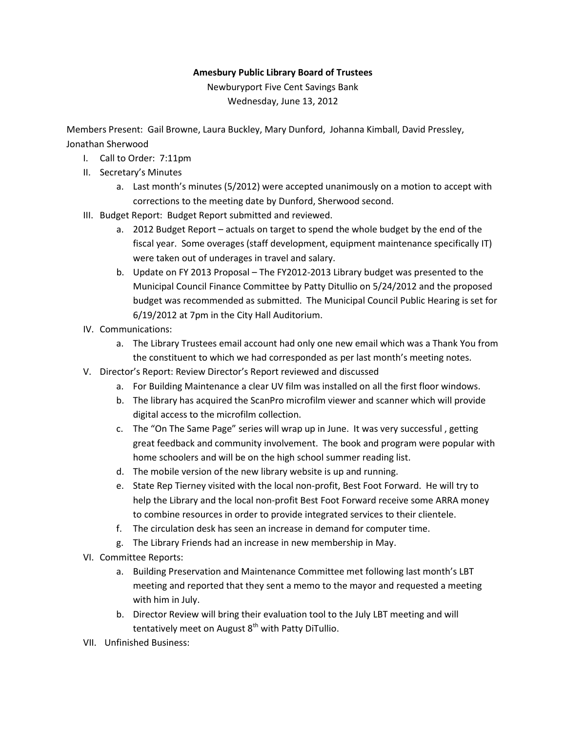## **Amesbury Public Library Board of Trustees**

Newburyport Five Cent Savings Bank Wednesday, June 13, 2012

Members Present: Gail Browne, Laura Buckley, Mary Dunford, Johanna Kimball, David Pressley, Jonathan Sherwood

- I. Call to Order: 7:11pm
- II. Secretary's Minutes
	- a. Last month's minutes (5/2012) were accepted unanimously on a motion to accept with corrections to the meeting date by Dunford, Sherwood second.
- III. Budget Report: Budget Report submitted and reviewed.
	- a. 2012 Budget Report actuals on target to spend the whole budget by the end of the fiscal year. Some overages (staff development, equipment maintenance specifically IT) were taken out of underages in travel and salary.
	- b. Update on FY 2013 Proposal The FY2012-2013 Library budget was presented to the Municipal Council Finance Committee by Patty Ditullio on 5/24/2012 and the proposed budget was recommended as submitted. The Municipal Council Public Hearing is set for 6/19/2012 at 7pm in the City Hall Auditorium.
- IV. Communications:
	- a. The Library Trustees email account had only one new email which was a Thank You from the constituent to which we had corresponded as per last month's meeting notes.
- V. Director's Report: Review Director's Report reviewed and discussed
	- a. For Building Maintenance a clear UV film was installed on all the first floor windows.
	- b. The library has acquired the ScanPro microfilm viewer and scanner which will provide digital access to the microfilm collection.
	- c. The "On The Same Page" series will wrap up in June. It was very successful , getting great feedback and community involvement. The book and program were popular with home schoolers and will be on the high school summer reading list.
	- d. The mobile version of the new library website is up and running.
	- e. State Rep Tierney visited with the local non-profit, Best Foot Forward. He will try to help the Library and the local non-profit Best Foot Forward receive some ARRA money to combine resources in order to provide integrated services to their clientele.
	- f. The circulation desk has seen an increase in demand for computer time.
	- g. The Library Friends had an increase in new membership in May.
- VI. Committee Reports:
	- a. Building Preservation and Maintenance Committee met following last month's LBT meeting and reported that they sent a memo to the mayor and requested a meeting with him in July.
	- b. Director Review will bring their evaluation tool to the July LBT meeting and will tentatively meet on August  $8<sup>th</sup>$  with Patty DiTullio.
- VII. Unfinished Business: